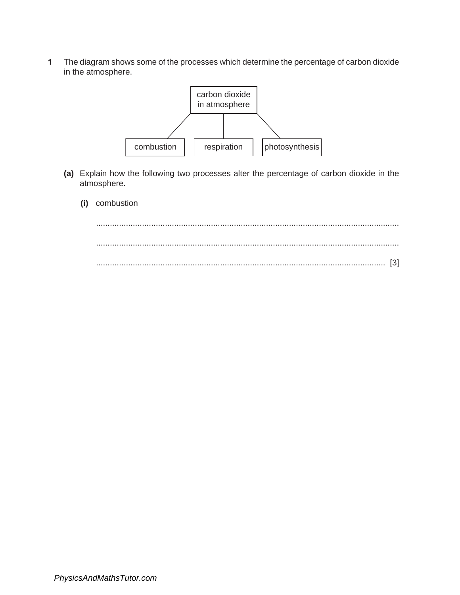**1** The diagram shows some of the processes which determine the percentage of carbon dioxide in the atmosphere.



- **(a)** Explain how the following two processes alter the percentage of carbon dioxide in the atmosphere.
	- **(i)** combustion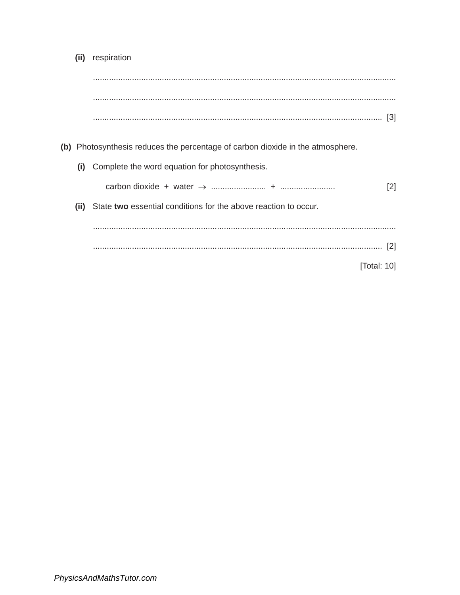(ii) respiration

- (b) Photosynthesis reduces the percentage of carbon dioxide in the atmosphere.
	- (i) Complete the word equation for photosynthesis.

| carbon dioxide | water |  |
|----------------|-------|--|
|                |       |  |

(ii) State two essential conditions for the above reaction to occur.

[Total: 10]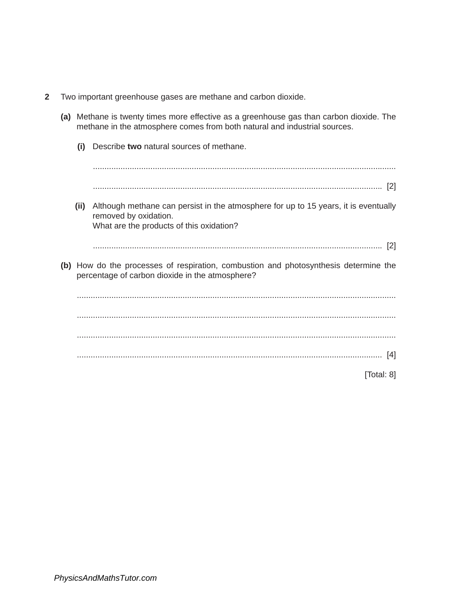- **2** Two important greenhouse gases are methane and carbon dioxide.
	- **(a)** Methane is twenty times more effective as a greenhouse gas than carbon dioxide. The methane in the atmosphere comes from both natural and industrial sources. **(i)** Describe **two** natural sources of methane. .................................................................................................................................... .............................................................................................................................. [2] **(ii)** Although methane can persist in the atmosphere for up to 15 years, it is eventually removed by oxidation. What are the products of this oxidation? .............................................................................................................................. [2] **(b)** How do the processes of respiration, combustion and photosynthesis determine the percentage of carbon dioxide in the atmosphere? ........................................................................................................................................... ...........................................................................................................................................

........................................................................................................................................... ..................................................................................................................................... [4]

[Total: 8]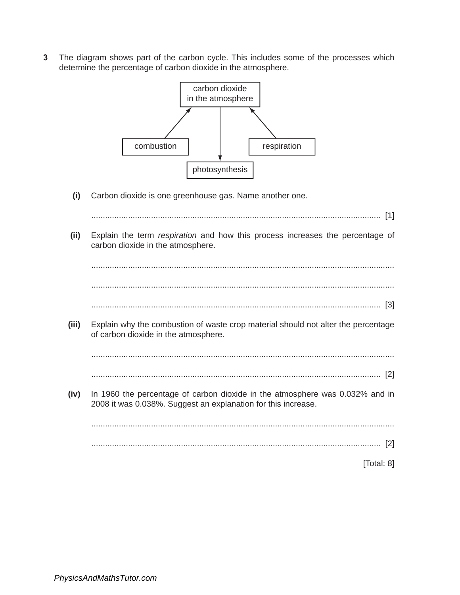**3** The diagram shows part of the carbon cycle. This includes some of the processes which determine the percentage of carbon dioxide in the atmosphere.



**(i)** Carbon dioxide is one greenhouse gas. Name another one.

.............................................................................................................................. [1] **(ii)** Explain the term *respiration* and how this process increases the percentage of carbon dioxide in the atmosphere. .................................................................................................................................... .................................................................................................................................... .............................................................................................................................. [3] **(iii)** Explain why the combustion of waste crop material should not alter the percentage of carbon dioxide in the atmosphere. .................................................................................................................................... .............................................................................................................................. [2] **(iv)** In 1960 the percentage of carbon dioxide in the atmosphere was 0.032% and in 2008 it was 0.038%. Suggest an explanation for this increase. .................................................................................................................................... .............................................................................................................................. [2] [Total: 8]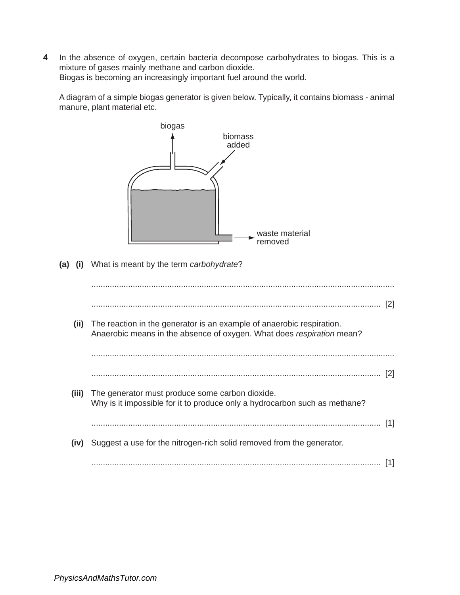**4** In the absence of oxygen, certain bacteria decompose carbohydrates to biogas. This is a mixture of gases mainly methane and carbon dioxide. Biogas is becoming an increasingly important fuel around the world.

A diagram of a simple biogas generator is given below. Typically, it contains biomass - animal manure, plant material etc.



.............................................................................................................................. [1]